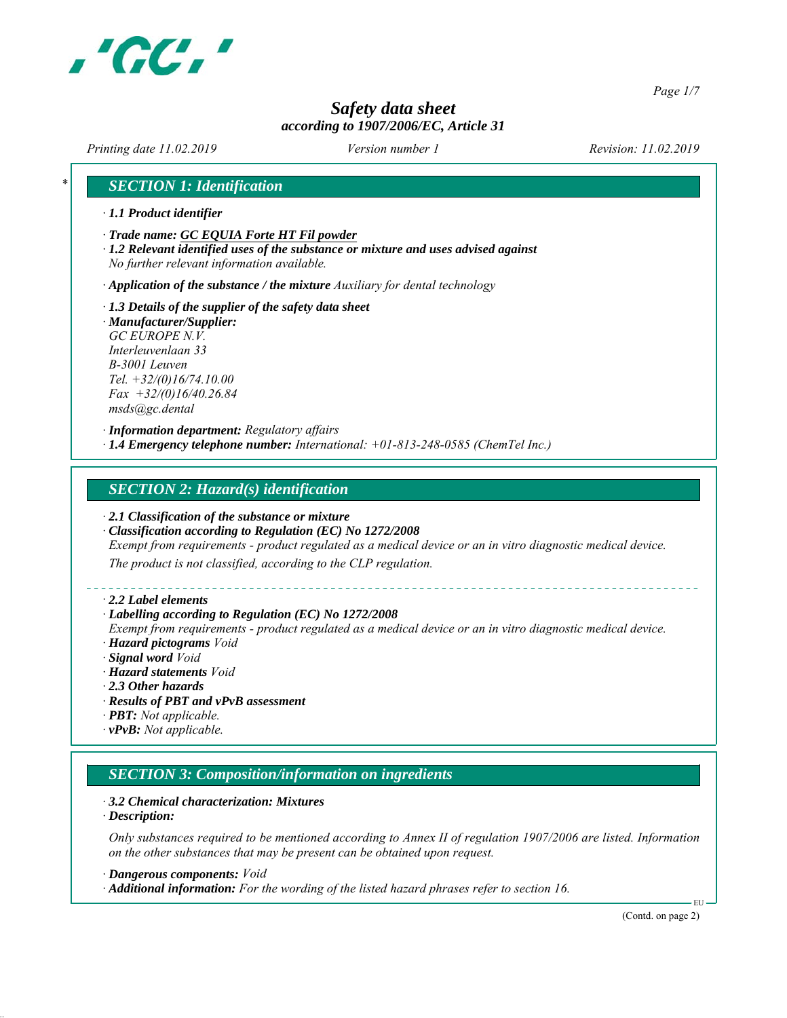

*Page 1/7*

# *Safety data sheet according to 1907/2006/EC, Article 31*

*Printing date 11.02.2019 Revision: 11.02.2019 Version number 1*

# *\* SECTION 1: Identification*

- *∙ 1.1 Product identifier*
- *∙ Trade name: GC EQUIA Forte HT Fil powder*
- *∙ 1.2 Relevant identified uses of the substance or mixture and uses advised against No further relevant information available.*

*∙ Application of the substance / the mixture Auxiliary for dental technology*

- *∙ 1.3 Details of the supplier of the safety data sheet*
- *∙ Manufacturer/Supplier: GC EUROPE N.V. Interleuvenlaan 33 B-3001 Leuven Tel. +32/(0)16/74.10.00 Fax +32/(0)16/40.26.84 msds@gc.dental*

*∙ Information department: Regulatory affairs ∙ 1.4 Emergency telephone number: International: +01-813-248-0585 (ChemTel Inc.)*

#### *SECTION 2: Hazard(s) identification*

- *∙ 2.1 Classification of the substance or mixture*
- *∙ Classification according to Regulation (EC) No 1272/2008*
- *Exempt from requirements product regulated as a medical device or an in vitro diagnostic medical device.*

*The product is not classified, according to the CLP regulation.*

*∙ 2.2 Label elements*

#### *∙ Labelling according to Regulation (EC) No 1272/2008*

*Exempt from requirements - product regulated as a medical device or an in vitro diagnostic medical device. ∙ Hazard pictograms Void*

- *∙ Signal word Void*
- *∙ Hazard statements Void*
- *∙ 2.3 Other hazards*
- *∙ Results of PBT and vPvB assessment*
- *∙ PBT: Not applicable.*
- *∙ vPvB: Not applicable.*

#### *SECTION 3: Composition/information on ingredients*

- *∙ 3.2 Chemical characterization: Mixtures*
- *∙ Description:*

*Only substances required to be mentioned according to Annex II of regulation 1907/2006 are listed. Information on the other substances that may be present can be obtained upon request.*

*∙ Dangerous components: Void*

*∙ Additional information: For the wording of the listed hazard phrases refer to section 16.*

(Contd. on page 2)

EU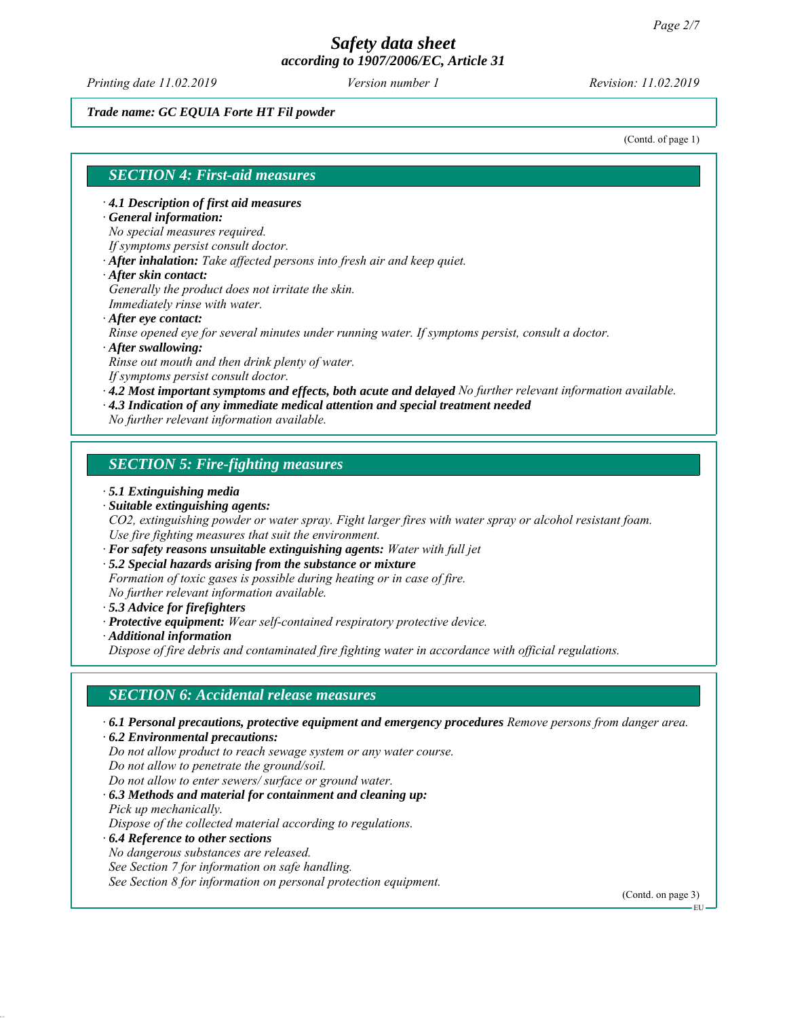*Printing date 11.02.2019 Revision: 11.02.2019 Version number 1*

#### *Trade name: GC EQUIA Forte HT Fil powder*

(Contd. of page 1)

#### *SECTION 4: First-aid measures*

*∙ 4.1 Description of first aid measures*

#### *∙ General information:*

*No special measures required.*

- *If symptoms persist consult doctor.*
- *∙ After inhalation: Take affected persons into fresh air and keep quiet.*
- *∙ After skin contact:*

*Generally the product does not irritate the skin.*

- *Immediately rinse with water.*
- *∙ After eye contact:*

*Rinse opened eye for several minutes under running water. If symptoms persist, consult a doctor.*

*∙ After swallowing:*

*Rinse out mouth and then drink plenty of water.*

*If symptoms persist consult doctor.*

*∙ 4.2 Most important symptoms and effects, both acute and delayed No further relevant information available.*

- *∙ 4.3 Indication of any immediate medical attention and special treatment needed*
- *No further relevant information available.*

# *SECTION 5: Fire-fighting measures*

#### *∙ 5.1 Extinguishing media*

*∙ Suitable extinguishing agents:*

*CO2, extinguishing powder or water spray. Fight larger fires with water spray or alcohol resistant foam. Use fire fighting measures that suit the environment.*

- *∙ For safety reasons unsuitable extinguishing agents: Water with full jet*
- *∙ 5.2 Special hazards arising from the substance or mixture*

*Formation of toxic gases is possible during heating or in case of fire.*

*No further relevant information available.*

- *∙ 5.3 Advice for firefighters*
- *∙ Protective equipment: Wear self-contained respiratory protective device.*
- *∙ Additional information*

*Dispose of fire debris and contaminated fire fighting water in accordance with official regulations.*

# *SECTION 6: Accidental release measures*

*∙ 6.1 Personal precautions, protective equipment and emergency procedures Remove persons from danger area.*

*∙ 6.2 Environmental precautions:*

*Do not allow product to reach sewage system or any water course.*

*Do not allow to penetrate the ground/soil.*

*Do not allow to enter sewers/ surface or ground water.*

*∙ 6.3 Methods and material for containment and cleaning up: Pick up mechanically.*

*Dispose of the collected material according to regulations.*

- *∙ 6.4 Reference to other sections*
- *No dangerous substances are released.*

*See Section 7 for information on safe handling.*

*See Section 8 for information on personal protection equipment.*

(Contd. on page 3)

EU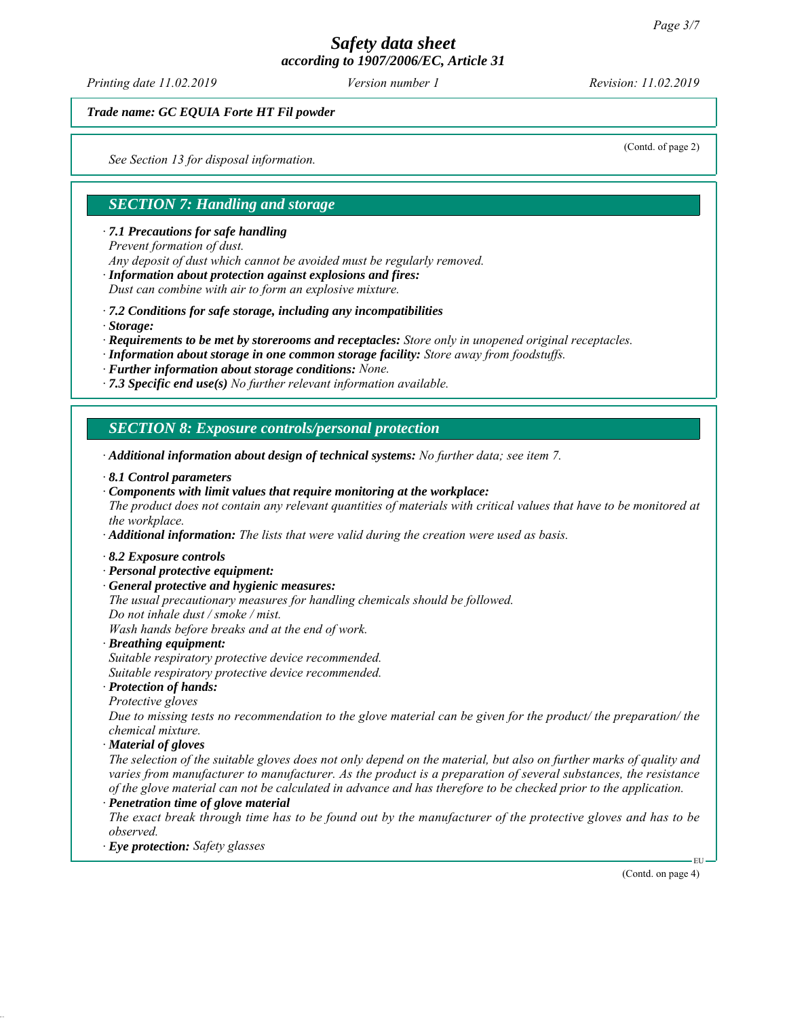*Printing date 11.02.2019 Revision: 11.02.2019 Version number 1*

*Trade name: GC EQUIA Forte HT Fil powder*

*See Section 13 for disposal information.*

(Contd. of page 2)

#### *SECTION 7: Handling and storage*

*∙ 7.1 Precautions for safe handling*

*Prevent formation of dust.*

*Any deposit of dust which cannot be avoided must be regularly removed.*

*∙ Information about protection against explosions and fires:*

*Dust can combine with air to form an explosive mixture.*

*∙ 7.2 Conditions for safe storage, including any incompatibilities*

*∙ Storage:*

*∙ Requirements to be met by storerooms and receptacles: Store only in unopened original receptacles.*

*∙ Information about storage in one common storage facility: Store away from foodstuffs.*

*∙ Further information about storage conditions: None.*

*∙ 7.3 Specific end use(s) No further relevant information available.*

*SECTION 8: Exposure controls/personal protection*

*∙ Additional information about design of technical systems: No further data; see item 7.*

*∙ 8.1 Control parameters*

*∙ Components with limit values that require monitoring at the workplace:*

*The product does not contain any relevant quantities of materials with critical values that have to be monitored at the workplace.*

*∙ Additional information: The lists that were valid during the creation were used as basis.*

- *∙ 8.2 Exposure controls*
- *∙ Personal protective equipment:*
- *∙ General protective and hygienic measures:*
- *The usual precautionary measures for handling chemicals should be followed.*
- *Do not inhale dust / smoke / mist.*

*Wash hands before breaks and at the end of work.*

*∙ Breathing equipment: Suitable respiratory protective device recommended.*

*Suitable respiratory protective device recommended.*

*∙ Protection of hands:*

*Protective gloves*

*Due to missing tests no recommendation to the glove material can be given for the product/ the preparation/ the chemical mixture.*

*∙ Material of gloves*

*The selection of the suitable gloves does not only depend on the material, but also on further marks of quality and varies from manufacturer to manufacturer. As the product is a preparation of several substances, the resistance of the glove material can not be calculated in advance and has therefore to be checked prior to the application.*

*∙ Penetration time of glove material*

*The exact break through time has to be found out by the manufacturer of the protective gloves and has to be observed.*

*∙ Eye protection: Safety glasses*

(Contd. on page 4)

EU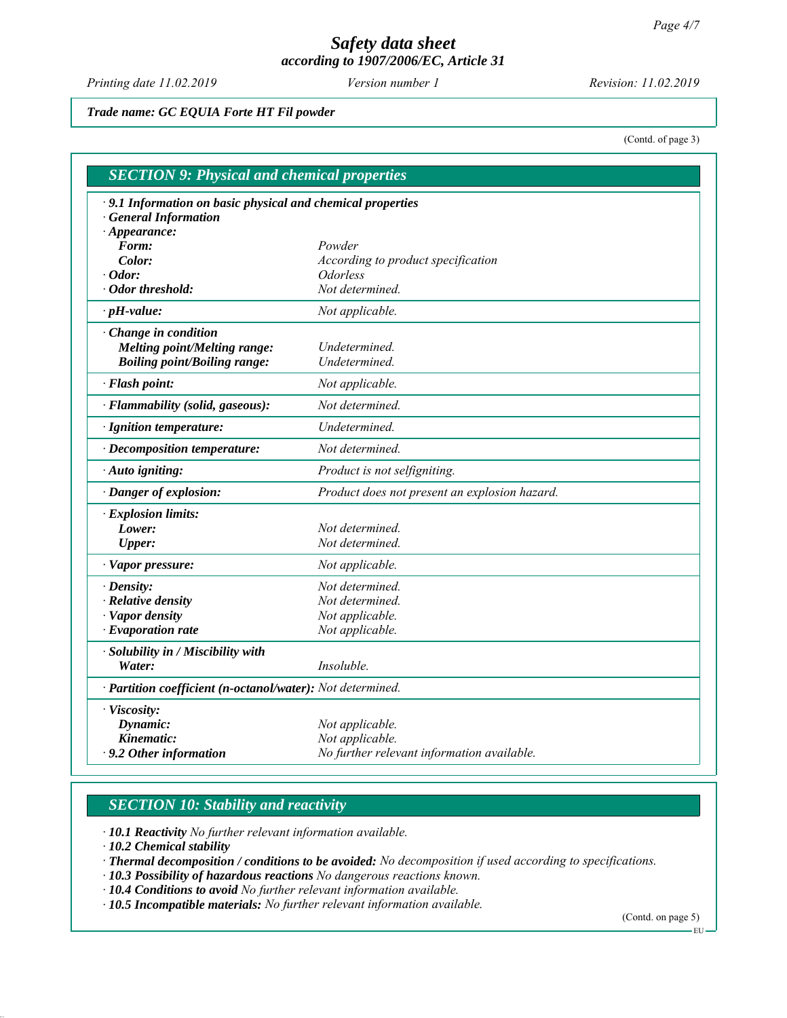*Printing date 11.02.2019 Revision: 11.02.2019 Version number 1*

*Trade name: GC EQUIA Forte HT Fil powder*

(Contd. of page 3)

| <b>SECTION 9: Physical and chemical properties</b>          |                                                            |  |
|-------------------------------------------------------------|------------------------------------------------------------|--|
| · 9.1 Information on basic physical and chemical properties |                                                            |  |
| <b>General Information</b>                                  |                                                            |  |
| $\cdot$ Appearance:                                         |                                                            |  |
| Form:                                                       | Powder                                                     |  |
| Color:                                                      | According to product specification                         |  |
| $\cdot$ Odor:                                               | <b>Odorless</b>                                            |  |
| $\cdot$ Odor threshold:                                     | Not determined.                                            |  |
| $\cdot$ pH-value:                                           | Not applicable.                                            |  |
| · Change in condition                                       |                                                            |  |
| <b>Melting point/Melting range:</b>                         | Undetermined.                                              |  |
| <b>Boiling point/Boiling range:</b>                         | Undetermined.                                              |  |
| · Flash point:                                              | Not applicable.                                            |  |
| · Flammability (solid, gaseous):                            | Not determined.                                            |  |
| · Ignition temperature:                                     | Undetermined.                                              |  |
| $\cdot$ Decomposition temperature:                          | Not determined.                                            |  |
| · Auto igniting:                                            | Product is not selfigniting.                               |  |
| · Danger of explosion:                                      | Product does not present an explosion hazard.              |  |
| · Explosion limits:                                         |                                                            |  |
| Lower:                                                      | Not determined.                                            |  |
| <b>Upper:</b>                                               | Not determined.                                            |  |
| · Vapor pressure:                                           | Not applicable.                                            |  |
| $\cdot$ Density:                                            | Not determined.                                            |  |
| · Relative density                                          | Not determined.                                            |  |
| · Vapor density                                             | Not applicable.                                            |  |
| $\cdot$ Evaporation rate                                    | Not applicable.                                            |  |
| · Solubility in / Miscibility with                          |                                                            |  |
| Water:                                                      | Insoluble.                                                 |  |
|                                                             | · Partition coefficient (n-octanol/water): Not determined. |  |
| · Viscosity:                                                |                                                            |  |
| Dynamic:                                                    | Not applicable.                                            |  |
| Kinematic:                                                  | Not applicable.                                            |  |
| $\cdot$ 9.2 Other information                               | No further relevant information available.                 |  |

# *SECTION 10: Stability and reactivity*

*∙ 10.1 Reactivity No further relevant information available.*

*∙ 10.2 Chemical stability*

*∙ Thermal decomposition / conditions to be avoided: No decomposition if used according to specifications.*

*∙ 10.3 Possibility of hazardous reactions No dangerous reactions known.*

*∙ 10.4 Conditions to avoid No further relevant information available.*

*∙ 10.5 Incompatible materials: No further relevant information available.*

(Contd. on page 5) EU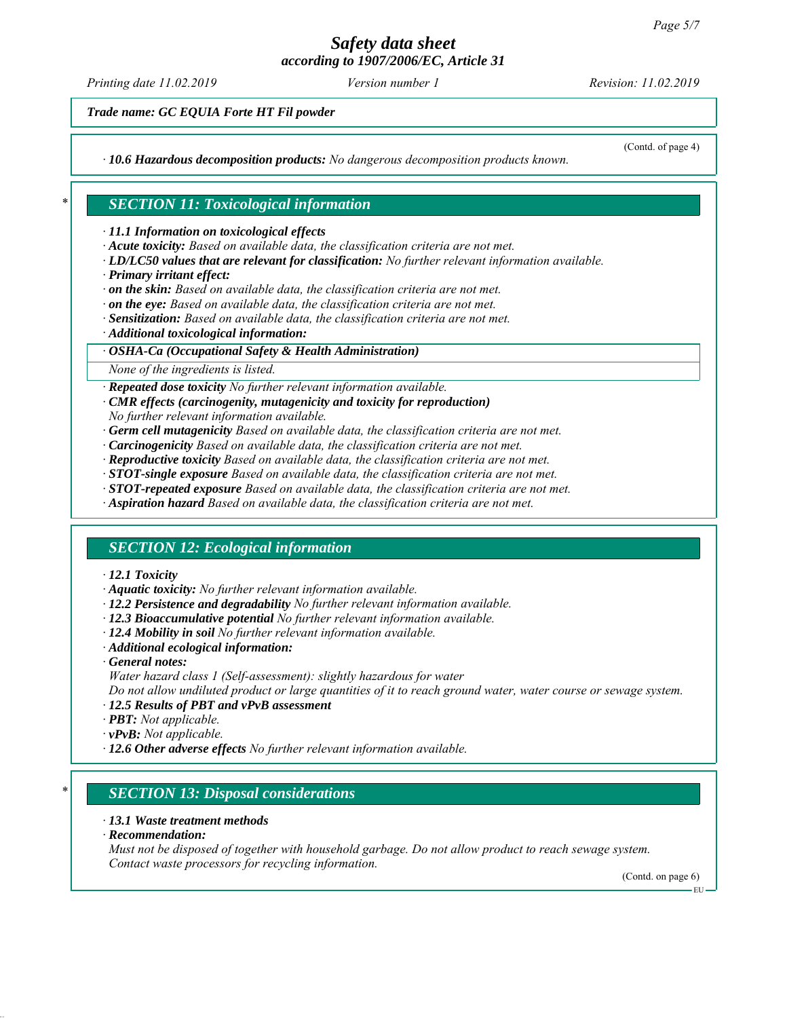*Printing date 11.02.2019 Revision: 11.02.2019 Version number 1*

*Trade name: GC EQUIA Forte HT Fil powder*

*∙ 10.6 Hazardous decomposition products: No dangerous decomposition products known.*

(Contd. of page 4)

# *\* SECTION 11: Toxicological information*

*∙ 11.1 Information on toxicological effects*

- *∙ Acute toxicity: Based on available data, the classification criteria are not met.*
- *∙ LD/LC50 values that are relevant for classification: No further relevant information available.*
- *∙ Primary irritant effect:*
- *∙ on the skin: Based on available data, the classification criteria are not met.*
- *∙ on the eye: Based on available data, the classification criteria are not met.*
- *∙ Sensitization: Based on available data, the classification criteria are not met.*
- *∙ Additional toxicological information:*

#### *∙ OSHA-Ca (Occupational Safety & Health Administration)*

*None of the ingredients is listed.*

*∙ Repeated dose toxicity No further relevant information available.*

- *∙ CMR effects (carcinogenity, mutagenicity and toxicity for reproduction)*
- *No further relevant information available.*
- *∙ Germ cell mutagenicity Based on available data, the classification criteria are not met.*
- *∙ Carcinogenicity Based on available data, the classification criteria are not met.*
- *∙ Reproductive toxicity Based on available data, the classification criteria are not met.*
- *∙ STOT-single exposure Based on available data, the classification criteria are not met.*
- *∙ STOT-repeated exposure Based on available data, the classification criteria are not met.*
- *∙ Aspiration hazard Based on available data, the classification criteria are not met.*

# *SECTION 12: Ecological information*

#### *∙ 12.1 Toxicity*

- *∙ Aquatic toxicity: No further relevant information available.*
- *∙ 12.2 Persistence and degradability No further relevant information available.*
- *∙ 12.3 Bioaccumulative potential No further relevant information available.*
- *∙ 12.4 Mobility in soil No further relevant information available.*
- *∙ Additional ecological information:*
- *∙ General notes:*
- *Water hazard class 1 (Self-assessment): slightly hazardous for water*

*Do not allow undiluted product or large quantities of it to reach ground water, water course or sewage system.*

- *∙ 12.5 Results of PBT and vPvB assessment*
- *∙ PBT: Not applicable.*
- *∙ vPvB: Not applicable.*
- *∙ 12.6 Other adverse effects No further relevant information available.*

# *\* SECTION 13: Disposal considerations*

#### *∙ 13.1 Waste treatment methods*

*∙ Recommendation:*

*Must not be disposed of together with household garbage. Do not allow product to reach sewage system. Contact waste processors for recycling information.*

(Contd. on page 6) EU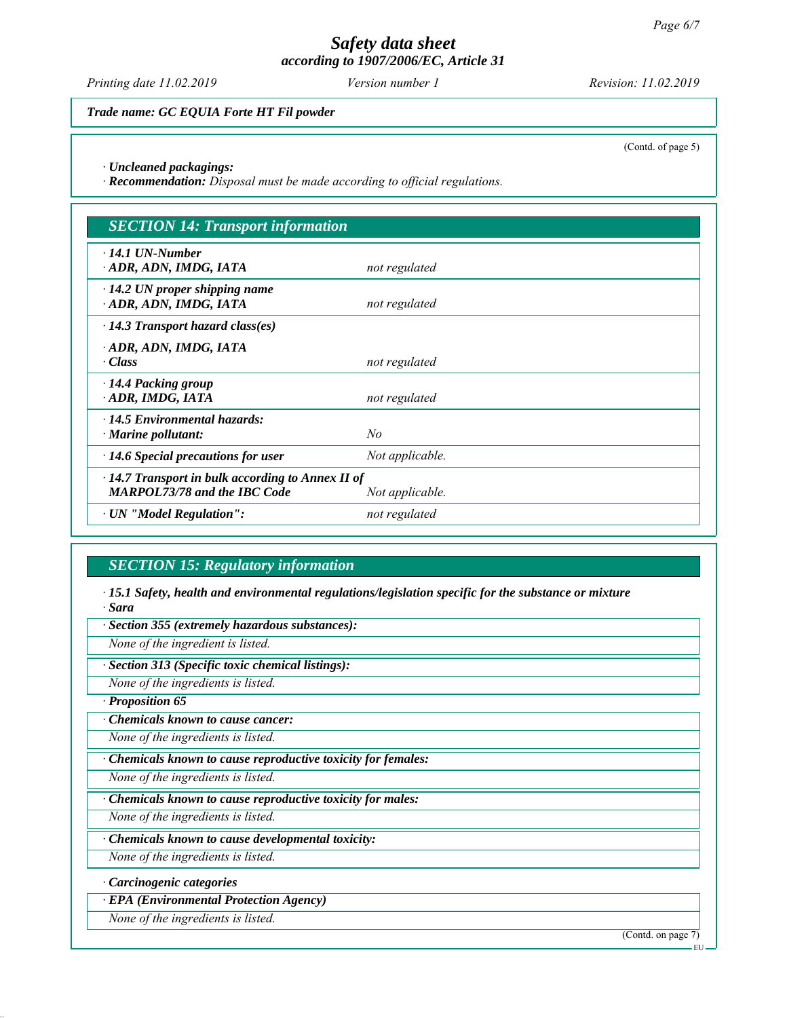*Printing date 11.02.2019 Revision: 11.02.2019 Version number 1*

*Trade name: GC EQUIA Forte HT Fil powder*

(Contd. of page 5)

*∙ Uncleaned packagings:*

*∙ Recommendation: Disposal must be made according to official regulations.*

| <b>SECTION 14: Transport information</b>                                                                          |                 |
|-------------------------------------------------------------------------------------------------------------------|-----------------|
| $\cdot$ 14.1 UN-Number<br>ADR, ADN, IMDG, IATA                                                                    | not regulated   |
| $\cdot$ 14.2 UN proper shipping name<br>ADR, ADN, IMDG, IATA                                                      | not regulated   |
| $\cdot$ 14.3 Transport hazard class(es)                                                                           |                 |
| · ADR, ADN, IMDG, IATA<br>· Class                                                                                 | not regulated   |
| $\cdot$ 14.4 Packing group<br>ADR, IMDG, IATA                                                                     | not regulated   |
| $\cdot$ 14.5 Environmental hazards:<br>$\cdot$ Marine pollutant:                                                  | No              |
| $\cdot$ 14.6 Special precautions for user                                                                         | Not applicable. |
| $\cdot$ 14.7 Transport in bulk according to Annex II of<br><b>MARPOL73/78 and the IBC Code</b><br>Not applicable. |                 |
| · UN "Model Regulation":                                                                                          | not regulated   |

# *SECTION 15: Regulatory information*

*∙ 15.1 Safety, health and environmental regulations/legislation specific for the substance or mixture ∙ Sara*

*∙ Section 355 (extremely hazardous substances):*

*None of the ingredient is listed.*

*∙ Section 313 (Specific toxic chemical listings):*

*None of the ingredients is listed.*

*∙ Proposition 65*

*∙ Chemicals known to cause cancer:*

*None of the ingredients is listed.*

*∙ Chemicals known to cause reproductive toxicity for females:*

*None of the ingredients is listed.*

*∙ Chemicals known to cause reproductive toxicity for males:*

*None of the ingredients is listed.*

*∙ Chemicals known to cause developmental toxicity:*

*None of the ingredients is listed.*

*∙ Carcinogenic categories*

*∙ EPA (Environmental Protection Agency)*

*None of the ingredients is listed.*

(Contd. on page 7)

EU